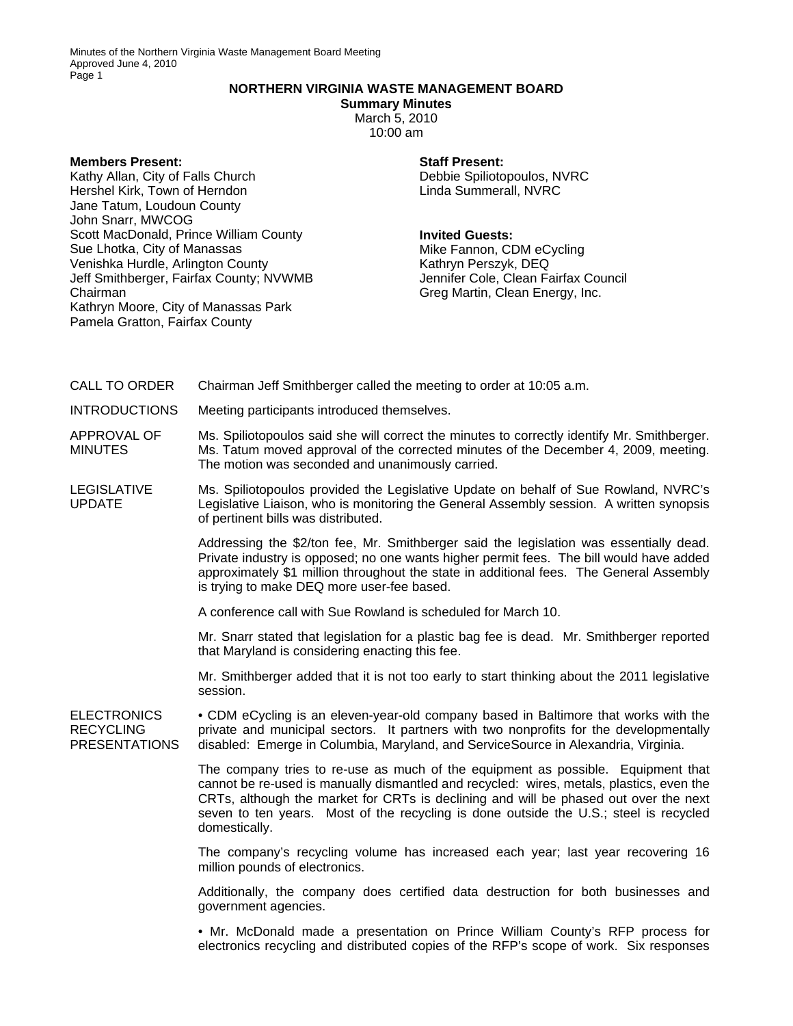## **NORTHERN VIRGINIA WASTE MANAGEMENT BOARD**

**Summary Minutes**  March 5, 2010 10:00 am

## **Members Present:**

Kathy Allan, City of Falls Church Hershel Kirk, Town of Herndon Jane Tatum, Loudoun County John Snarr, MWCOG Scott MacDonald, Prince William County Sue Lhotka, City of Manassas Venishka Hurdle, Arlington County Jeff Smithberger, Fairfax County; NVWMB Chairman Kathryn Moore, City of Manassas Park Pamela Gratton, Fairfax County

**Staff Present:**  Debbie Spiliotopoulos, NVRC Linda Summerall, NVRC

## **Invited Guests:**

Mike Fannon, CDM eCycling Kathryn Perszyk, DEQ Jennifer Cole, Clean Fairfax Council Greg Martin, Clean Energy, Inc.

CALL TO ORDER Chairman Jeff Smithberger called the meeting to order at 10:05 a.m.

INTRODUCTIONS Meeting participants introduced themselves.

APPROVAL OF MINUTES Ms. Spiliotopoulos said she will correct the minutes to correctly identify Mr. Smithberger. Ms. Tatum moved approval of the corrected minutes of the December 4, 2009, meeting. The motion was seconded and unanimously carried.

LEGISLATIVE UPDATE Ms. Spiliotopoulos provided the Legislative Update on behalf of Sue Rowland, NVRC's Legislative Liaison, who is monitoring the General Assembly session. A written synopsis of pertinent bills was distributed.

> Addressing the \$2/ton fee, Mr. Smithberger said the legislation was essentially dead. Private industry is opposed; no one wants higher permit fees. The bill would have added approximately \$1 million throughout the state in additional fees. The General Assembly is trying to make DEQ more user-fee based.

A conference call with Sue Rowland is scheduled for March 10.

Mr. Snarr stated that legislation for a plastic bag fee is dead. Mr. Smithberger reported that Maryland is considering enacting this fee.

Mr. Smithberger added that it is not too early to start thinking about the 2011 legislative session.

**ELECTRONICS** RECYCLING PRESENTATIONS • CDM eCycling is an eleven-year-old company based in Baltimore that works with the private and municipal sectors. It partners with two nonprofits for the developmentally disabled: Emerge in Columbia, Maryland, and ServiceSource in Alexandria, Virginia.

> The company tries to re-use as much of the equipment as possible. Equipment that cannot be re-used is manually dismantled and recycled: wires, metals, plastics, even the CRTs, although the market for CRTs is declining and will be phased out over the next seven to ten years. Most of the recycling is done outside the U.S.; steel is recycled domestically.

> The company's recycling volume has increased each year; last year recovering 16 million pounds of electronics.

> Additionally, the company does certified data destruction for both businesses and government agencies.

> • Mr. McDonald made a presentation on Prince William County's RFP process for electronics recycling and distributed copies of the RFP's scope of work. Six responses